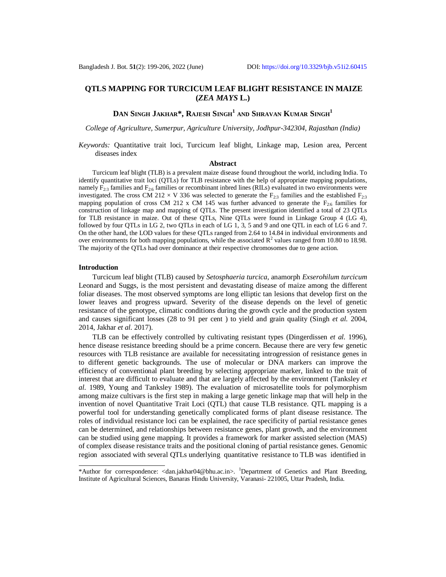## **QTLS MAPPING FOR TURCICUM LEAF BLIGHT RESISTANCE IN MAIZE (***ZEA MAYS* **L.)**

# **DAN SINGH JAKHAR\*, RAJESH SINGH<sup>1</sup> AND SHRAVAN KUMAR SINGH<sup>1</sup>**

*College of Agriculture, Sumerpur, Agriculture University, Jodhpur-342304, Rajasthan (India)*

*Keywords:* Quantitative trait loci, Turcicum leaf blight, Linkage map, Lesion area, Percent diseases index

### **Abstract**

Turcicum leaf blight (TLB) is a prevalent maize disease found throughout the world, including India. To identify quantitative trait loci (QTLs) for TLB resistance with the help of appropriate mapping populations, namely  $F_{2:3}$  families and  $F_{2:6}$  families or recombinant inbred lines (RILs) evaluated in two environments were investigated. The cross CM 212  $\times$  V 336 was selected to generate the F<sub>2:3</sub> families and the established F<sub>2:3</sub> mapping population of cross CM 212 x CM 145 was further advanced to generate the  $F_{2.6}$  families for construction of linkage map and mapping of QTLs. The present investigation identified a total of 23 QTLs for TLB resistance in maize. Out of these QTLs, Nine QTLs were found in Linkage Group 4 (LG 4), followed by four QTLs in LG 2, two QTLs in each of LG 1, 3, 5 and 9 and one QTL in each of LG 6 and 7. On the other hand, the LOD values for these QTLs ranged from 2.64 to 14.84 in individual environments and over environments for both mapping populations, while the associated  $R^2$  values ranged from 10.80 to 18.98. The majority of the QTLs had over dominance at their respective chromosomes due to gene action.

#### **Introduction**

Turcicum leaf blight (TLB) caused by *Setosphaeria turcica*, anamorph *Exserohilum turcicum*  Leonard and Suggs, is the most persistent and devastating disease of maize among the different foliar diseases. The most observed symptoms are long elliptic tan lesions that develop first on the lower leaves and progress upward. Severity of the disease depends on the level of genetic resistance of the genotype, climatic conditions during the growth cycle and the production system and causes significant losses (28 to 91 per cent ) to yield and grain quality (Singh *et al.* 2004, 2014, Jakhar *et al.* 2017).

TLB can be effectively controlled by cultivating resistant types (Dingerdissen *et al.* 1996), hence disease resistance breeding should be a prime concern. Because there are very few genetic resources with TLB resistance are available for necessitating introgression of resistance genes in to different genetic backgrounds. The use of molecular or DNA markers can improve the efficiency of conventional plant breeding by selecting appropriate marker, linked to the trait of interest that are difficult to evaluate and that are largely affected by the environment (Tanksley *et al.* 1989, Young and Tanksley 1989). The evaluation of microsatellite tools for polymorphism among maize cultivars is the first step in making a large genetic linkage map that will help in the invention of novel Quantitative Trait Loci (QTL) that cause TLB resistance. QTL mapping is a powerful tool for understanding genetically complicated forms of plant disease resistance. The roles of individual resistance loci can be explained, the race specificity of partial resistance genes can be determined, and relationships between resistance genes, plant growth, and the environment can be studied using gene mapping. It provides a framework for marker assisted selection (MAS) of complex disease resistance traits and the positional cloning of partial resistance genes. Genomic region associated with several QTLs underlying quantitative resistance to TLB was identified in

<sup>\*</sup>Author for correspondence: [<dan.jakhar04@bhu.ac.in>](mailto:dan.jakhar04@bhu.ac.in). <sup>1</sup>Department of Genetics and Plant Breeding, Institute of Agricultural Sciences, Banaras Hindu University, Varanasi- 221005, Uttar Pradesh, India.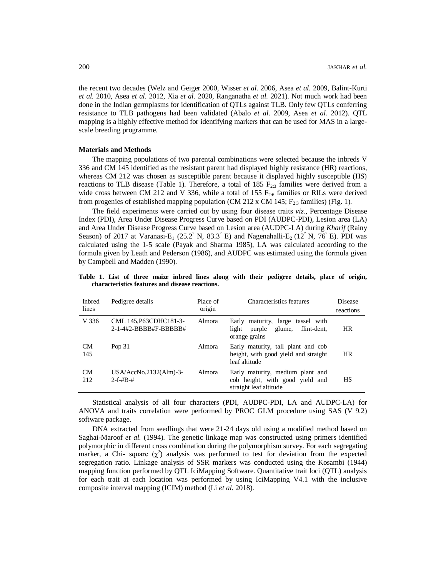the recent two decades (Welz and Geiger 2000, Wisser *et al.* 2006, Asea *et al.* 2009, Balint-Kurti *et al.* 2010, Asea *et al.* 2012, Xia *et al.* 2020, Ranganatha *et al.* 2021). Not much work had been done in the Indian germplasms for identification of QTLs against TLB. Only few QTLs conferring resistance to TLB pathogens had been validated (Abalo *et al.* 2009, Asea *et al.* 2012). QTL mapping is a highly effective method for identifying markers that can be used for MAS in a largescale breeding programme.

#### **Materials and Methods**

The mapping populations of two parental combinations were selected because the inbreds V 336 and CM 145 identified as the resistant parent had displayed highly resistance (HR) reactions, whereas CM 212 was chosen as susceptible parent because it displayed highly susceptible (HS) reactions to TLB disease (Table 1). Therefore, a total of 185  $F_{2:3}$  families were derived from a wide cross between CM 212 and V 336, while a total of 155  $F_{2.6}$  families or RILs were derived from progenies of established mapping population (CM 212 x CM 145;  $F_{2:3}$  families) (Fig. 1).

The field experiments were carried out by using four disease traits *viz.,* Percentage Disease Index (PDI), Area Under Disease Progress Curve based on PDI (AUDPC-PDI), Lesion area (LA) and Area Under Disease Progress Curve based on Lesion area (AUDPC-LA) during *Kharif* (Rainy Season) of 2017 at Varanasi-E<sub>1</sub> (25.2° N, 83.3° E) and Nagenahalli-E<sub>2</sub> (12° N, 76° E). PDI was calculated using the 1-5 scale (Payak and Sharma 1985), LA was calculated according to the formula given by Leath and Pederson (1986), and AUDPC was estimated using the formula given by Campbell and Madden (1990).

| <b>Inbred</b><br>lines | Pedigree details                                    | Place of<br>origin | Characteristics features                                                                       | Disease<br>reactions |
|------------------------|-----------------------------------------------------|--------------------|------------------------------------------------------------------------------------------------|----------------------|
| V 336                  | CML 145, P63CDHC181-3-<br>$2-1-4\#2-BBBBB#F-BBBBB#$ | Almora             | Early maturity, large tassel with<br>light<br>flint-dent,<br>purple<br>glume,<br>orange grains | <b>HR</b>            |
| <b>CM</b><br>145       | Pop $31$                                            | Almora             | Early maturity, tall plant and cob<br>height, with good yield and straight<br>leaf altitude    | <b>HR</b>            |
| CM<br>212              | $USA/AccNo.2132(Alm) -3-$<br>$2-f-HB-H$             | Almora             | Early maturity, medium plant and<br>cob height, with good yield and<br>straight leaf altitude  | НS                   |

**Table 1. List of three maize inbred lines along with their pedigree details, place of origin, characteristics features and disease reactions.**

Statistical analysis of all four characters (PDI, AUDPC-PDI, LA and AUDPC-LA) for ANOVA and traits correlation were performed by PROC GLM procedure using SAS (V 9.2) software package.

DNA extracted from seedlings that were 21-24 days old using a modified method based on Saghai-Maroof *et al.* (1994). The genetic linkage map was constructed using primers identified polymorphic in different cross combination during the polymorphism survey. For each segregating marker, a Chi- square  $(\chi^2)$  analysis was performed to test for deviation from the expected segregation ratio. Linkage analysis of SSR markers was conducted using the Kosambi (1944) mapping function performed by QTL IciMapping Software. Quantitative trait loci (QTL) analysis for each trait at each location was performed by using IciMapping V4.1 with the inclusive composite interval mapping (ICIM) method (Li *et al.* 2018).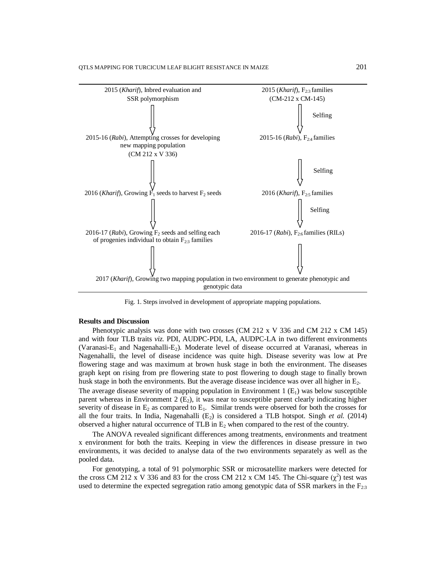

Fig. 1. Steps involved in development of appropriate mapping populations.

#### **Results and Discussion**

Phenotypic analysis was done with two crosses (CM 212 x V 336 and CM 212 x CM 145) and with four TLB traits *viz.* PDI, AUDPC-PDI, LA, AUDPC-LA in two different environments (Varanasi-E<sub>1</sub> and Nagenahalli-E<sub>2</sub>). Moderate level of disease occurred at Varanasi, whereas in Nagenahalli, the level of disease incidence was quite high. Disease severity was low at Pre flowering stage and was maximum at brown husk stage in both the environment. The diseases graph kept on rising from pre flowering state to post flowering to dough stage to finally brown husk stage in both the environments. But the average disease incidence was over all higher in E<sub>2</sub>.

The average disease severity of mapping population in Environment  $1(E_1)$  was below susceptible parent whereas in Environment  $2 \text{ (E}_2)$ , it was near to susceptible parent clearly indicating higher severity of disease in  $E_2$  as compared to  $E_1$ . Similar trends were observed for both the crosses for all the four traits. In India, Nagenahalli  $(E_2)$  is considered a TLB hotspot. Singh *et al.* (2014) observed a higher natural occurrence of TLB in  $E_2$  when compared to the rest of the country.

The ANOVA revealed significant differences among treatments, environments and treatment x environment for both the traits. Keeping in view the differences in disease pressure in two environments, it was decided to analyse data of the two environments separately as well as the pooled data.

For genotyping, a total of 91 polymorphic SSR or microsatellite markers were detected for the cross CM 212 x V 336 and 83 for the cross CM 212 x CM 145. The Chi-square  $(\chi^2)$  test was used to determine the expected segregation ratio among genotypic data of SSR markers in the  $F_{2:3}$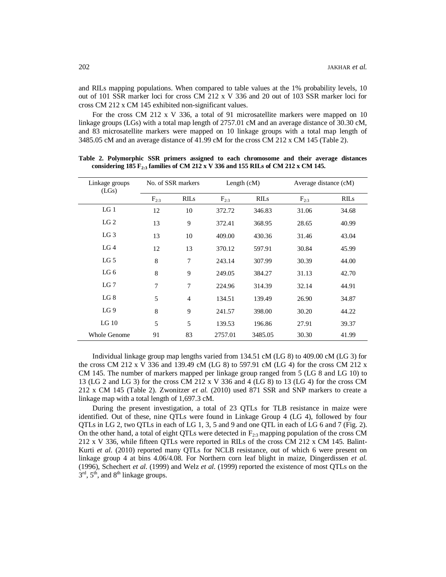and RILs mapping populations. When compared to table values at the 1% probability levels, 10 out of 101 SSR marker loci for cross CM 212 x V 336 and 20 out of 103 SSR marker loci for cross CM 212 x CM 145 exhibited non-significant values.

For the cross CM 212 x V 336, a total of 91 microsatellite markers were mapped on 10 linkage groups (LGs) with a total map length of 2757.01 cM and an average distance of 30.30 cM, and 83 microsatellite markers were mapped on 10 linkage groups with a total map length of 3485.05 cM and an average distance of 41.99 cM for the cross CM 212 x CM 145 (Table 2).

| Linkage groups<br>(LGs) | No. of SSR markers |             | Length $(cM)$ |             | Average distance (cM) |             |
|-------------------------|--------------------|-------------|---------------|-------------|-----------------------|-------------|
|                         | $F_{2:3}$          | <b>RILS</b> | $F_{2:3}$     | <b>RILS</b> | $F_{2:3}$             | <b>RILS</b> |
| LG <sub>1</sub>         | 12                 | 10          | 372.72        | 346.83      | 31.06                 | 34.68       |
| LG <sub>2</sub>         | 13                 | 9           | 372.41        | 368.95      | 28.65                 | 40.99       |
| $LG_3$                  | 13                 | 10          | 409.00        | 430.36      | 31.46                 | 43.04       |
| LG <sub>4</sub>         | 12                 | 13          | 370.12        | 597.91      | 30.84                 | 45.99       |
| LG <sub>5</sub>         | 8                  | 7           | 243.14        | 307.99      | 30.39                 | 44.00       |
| LG 6                    | 8                  | 9           | 249.05        | 384.27      | 31.13                 | 42.70       |
| LG 7                    | 7                  | 7           | 224.96        | 314.39      | 32.14                 | 44.91       |
| LG 8                    | 5                  | 4           | 134.51        | 139.49      | 26.90                 | 34.87       |
| LG <sub>9</sub>         | 8                  | 9           | 241.57        | 398.00      | 30.20                 | 44.22       |
| LG <sub>10</sub>        | 5                  |             | 139.53        | 196.86      | 27.91                 | 39.37       |
| <b>Whole Genome</b>     | 91                 | 83          | 2757.01       | 3485.05     | 30.30                 | 41.99       |

**Table 2. Polymorphic SSR primers assigned to each chromosome and their average distances considering 185 F2:3 families of CM 212 x V 336 and 155 RILs of CM 212 x CM 145.**

Individual linkage group map lengths varied from 134.51 cM (LG 8) to 409.00 cM (LG 3) for the cross CM 212 x V 336 and 139.49 cM (LG 8) to 597.91 cM (LG 4) for the cross CM 212 x CM 145. The number of markers mapped per linkage group ranged from 5 (LG 8 and LG 10) to 13 (LG 2 and LG 3) for the cross CM 212 x V 336 and 4 (LG 8) to 13 (LG 4) for the cross CM 212 x CM 145 (Table 2). Zwonitzer *et al.* (2010) used 871 SSR and SNP markers to create a linkage map with a total length of 1,697.3 cM.

During the present investigation, a total of 23 QTLs for TLB resistance in maize were identified. Out of these, nine QTLs were found in Linkage Group 4 (LG 4), followed by four QTLs in LG 2, two QTLs in each of LG 1, 3, 5 and 9 and one QTL in each of LG 6 and 7 (Fig. 2). On the other hand, a total of eight QTLs were detected in  $F_{2:3}$  mapping population of the cross CM 212 x V 336, while fifteen QTLs were reported in RILs of the cross CM 212 x CM 145. Balint-Kurti *et al.* (2010) reported many QTLs for NCLB resistance, out of which 6 were present on linkage group 4 at bins 4.06/4.08. For Northern corn leaf blight in maize, Dingerdissen *et al.* (1996), Schechert *et al.* (1999) and Welz *et al.* (1999) reported the existence of most QTLs on the  $3<sup>rd</sup>$ ,  $5<sup>th</sup>$ , and  $8<sup>th</sup>$  linkage groups.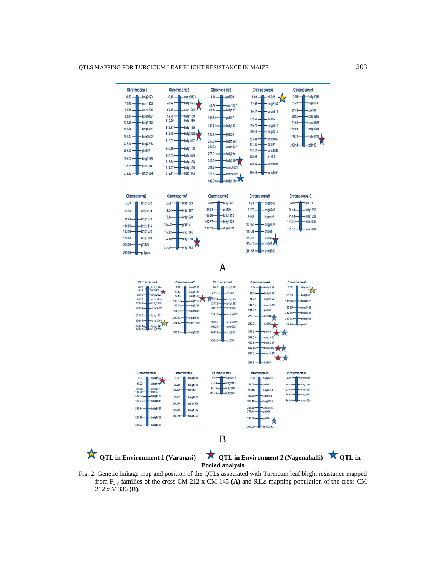#### QTLS MAPPING FOR TURCICUM LEAF BLIGHT RESISTANCE IN MAIZE 203



Fig. 2. Genetic linkage map and position of the QTLs associated with Turcicum leaf blight resistance mapped from F2:3 families of the cross CM 212 x CM 145 **(A)** and RILs mapping population of the cross CM 212 x V 336 **(B)**.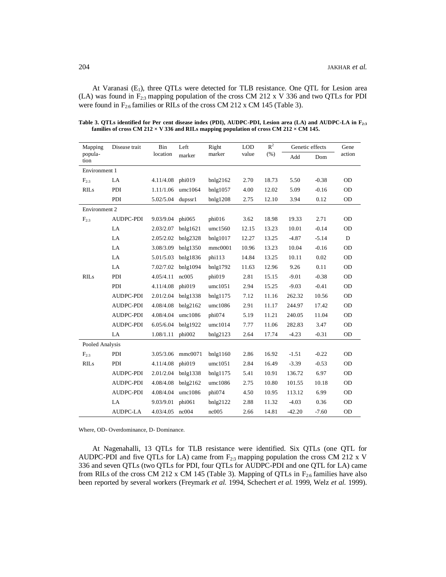At Varanasi  $(E_1)$ , three QTLs were detected for TLB resistance. One QTL for Lesion area (LA) was found in  $F_{2:3}$  mapping population of the cross CM 212 x V 336 and two QTLs for PDI were found in  $F_{2:6}$  families or RILs of the cross CM 212 x CM 145 (Table 3).

| Mapping<br>popula-<br>tion | Disease trait    | Bin<br>location | Left<br>marker     | Right<br>marker | <b>LOD</b><br>value | $R^2$<br>(% ) | Genetic effects |         | Gene      |
|----------------------------|------------------|-----------------|--------------------|-----------------|---------------------|---------------|-----------------|---------|-----------|
|                            |                  |                 |                    |                 |                     |               | Add             | Dom     | action    |
| Environment 1              |                  |                 |                    |                 |                     |               |                 |         |           |
| $F_{2:3}$                  | LA               | 4.11/4.08       | phi019             | $b$ nlg2162     | 2.70                | 18.73         | 5.50            | $-0.38$ | <b>OD</b> |
| <b>RILs</b>                | PDI              | 1.11/1.06       | umc1064            | bnlg1057        | 4.00                | 12.02         | 5.09            | $-0.16$ | <b>OD</b> |
|                            | PDI              | 5.02/5.04       | dupssr1            | bnlg1208        | 2.75                | 12.10         | 3.94            | 0.12    | OD        |
| Environment 2              |                  |                 |                    |                 |                     |               |                 |         |           |
| $F_{2:3}$                  | AUDPC-PDI        | 9.03/9.04       | phi065             | phi016          | 3.62                | 18.98         | 19.33           | 2.71    | <b>OD</b> |
|                            | LA               | 2.03/2.07       | bnlg1621           | umc1560         | 12.15               | 13.23         | 10.01           | $-0.14$ | OD        |
|                            | LA               | 2.05/2.02       | bnlg2328           | bnlg1017        | 12.27               | 13.25         | $-4.87$         | $-5.14$ | ${\rm D}$ |
|                            | LA               | 3.08/3.09       | bnlg1350           | mmc0001         | 10.96               | 13.23         | 10.04           | $-0.16$ | <b>OD</b> |
|                            | LA               | 5.01/5.03       | bnlg1836           | phi113          | 14.84               | 13.25         | 10.11           | 0.02    | <b>OD</b> |
|                            | LA               | 7.02/7.02       | bnlg1094           | bnlg1792        | 11.63               | 12.96         | 9.26            | 0.11    | OD        |
| <b>RILs</b>                | PDI              | 4.05/4.11       | nc005              | phi019          | 2.81                | 15.15         | $-9.01$         | $-0.38$ | OD        |
|                            | PDI              | 4.11/4.08       | phi019             | umc1051         | 2.94                | 15.25         | $-9.03$         | $-0.41$ | <b>OD</b> |
|                            | AUDPC-PDI        | 2.01/2.04       | bnlg1338           | bnlg1175        | 7.12                | 11.16         | 262.32          | 10.56   | <b>OD</b> |
|                            | AUDPC-PDI        | 4.08/4.08       | bnlg2162           | umc1086         | 2.91                | 11.17         | 244.97          | 17.42   | OD        |
|                            | AUDPC-PDI        | 4.08/4.04       | umc1086            | phi074          | 5.19                | 11.21         | 240.05          | 11.04   | OD        |
|                            | AUDPC-PDI        | 6.05/6.04       | bnlg1922           | umc1014         | 7.77                | 11.06         | 282.83          | 3.47    | <b>OD</b> |
|                            | LA               | 1.08/1.11       | phi002             | bnlg2123        | 2.64                | 17.74         | $-4.23$         | $-0.31$ | OD        |
| Pooled Analysis            |                  |                 |                    |                 |                     |               |                 |         |           |
| $F_{2:3}$                  | PDI              | 3.05/3.06       | mmc0071            | bnlg1160        | 2.86                | 16.92         | $-1.51$         | $-0.22$ | <b>OD</b> |
| <b>RILs</b>                | PDI              | 4.11/4.08       | phi019             | umc1051         | 2.84                | 16.49         | $-3.39$         | $-0.53$ | <b>OD</b> |
|                            | <b>AUDPC-PDI</b> |                 | 2.01/2.04 bnlg1338 | bnlg1175        | 5.41                | 10.91         | 136.72          | 6.97    | <b>OD</b> |
|                            | AUDPC-PDI        | 4.08/4.08       | bnlg2162           | umc1086         | 2.75                | 10.80         | 101.55          | 10.18   | <b>OD</b> |
|                            | AUDPC-PDI        | 4.08/4.04       | umc1086            | phi074          | 4.50                | 10.95         | 113.12          | 6.99    | <b>OD</b> |
|                            | LA               | 9.03/9.01       | phi061             | bnlg2122        | 2.88                | 11.32         | $-4.03$         | 0.36    | OD        |
|                            | <b>AUDPC-LA</b>  | 4.03/4.05 nc004 |                    | nc005           | 2.66                | 14.81         | $-42.20$        | $-7.60$ | OD        |

**Table 3. QTLs identified for Per cent disease index (PDI), AUDPC-PDI, Lesion area (LA) and AUDPC-LA in F2:3 families of cross CM 212 × V 336 and RILs mapping population of cross CM 212 × CM 145.**

Where, OD- Overdominance, D- Dominance.

At Nagenahalli, 13 QTLs for TLB resistance were identified. Six QTLs (one QTL for AUDPC-PDI and five QTLs for LA) came from  $F_{23}$  mapping population the cross CM 212 x V 336 and seven QTLs (two QTLs for PDI, four QTLs for AUDPC-PDI and one QTL for LA) came from RILs of the cross CM 212 x CM 145 (Table 3). Mapping of QTLs in  $F_{2.6}$  families have also been reported by several workers (Freymark *et al.* 1994, Schechert *et al.* 1999, Welz *et al.* 1999).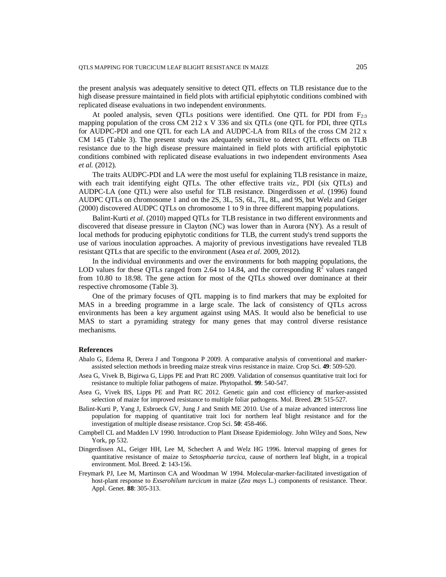the present analysis was adequately sensitive to detect QTL effects on TLB resistance due to the high disease pressure maintained in field plots with artificial epiphytotic conditions combined with replicated disease evaluations in two independent environments.

At pooled analysis, seven QTLs positions were identified. One QTL for PDI from  $F_{23}$ mapping population of the cross CM 212 x V 336 and six QTLs (one QTL for PDI, three QTLs for AUDPC-PDI and one QTL for each LA and AUDPC-LA from RILs of the cross CM 212 x CM 145 (Table 3). The present study was adequately sensitive to detect QTL effects on TLB resistance due to the high disease pressure maintained in field plots with artificial epiphytotic conditions combined with replicated disease evaluations in two independent environments Asea *et al.* (2012).

The traits AUDPC-PDI and LA were the most useful for explaining TLB resistance in maize, with each trait identifying eight QTLs. The other effective traits *viz*., PDI (six QTLs) and AUDPC-LA (one QTL) were also useful for TLB resistance. Dingerdissen *et al*. (1996) found AUDPC QTLs on chromosome 1 and on the 2S, 3L, 5S, 6L, 7L, 8L, and 9S, but Welz and Geiger (2000) discovered AUDPC QTLs on chromosome 1 to 9 in three different mapping populations.

Balint-Kurti *et al.* (2010) mapped QTLs for TLB resistance in two different environments and discovered that disease pressure in Clayton (NC) was lower than in Aurora (NY). As a result of local methods for producing epiphytotic conditions for TLB, the current study's trend supports the use of various inoculation approaches. A majority of previous investigations have revealed TLB resistant QTLs that are specific to the environment (Asea *et al*. 2009, 2012).

In the individual environments and over the environments for both mapping populations, the LOD values for these QTLs ranged from 2.64 to 14.84, and the corresponding  $\mathbb{R}^2$  values ranged from 10.80 to 18.98. The gene action for most of the QTLs showed over dominance at their respective chromosome (Table 3).

One of the primary focuses of QTL mapping is to find markers that may be exploited for MAS in a breeding programme in a large scale. The lack of consistency of QTLs across environments has been a key argument against using MAS. It would also be beneficial to use MAS to start a pyramiding strategy for many genes that may control diverse resistance mechanisms.

#### **References**

- Abalo G, Edema R, Derera J and Tongoona P 2009. A comparative analysis of conventional and markerassisted selection methods in breeding maize streak virus resistance in maize. Crop Sci. **49**: 509-520.
- Asea G, Vivek B, Bigirwa G, Lipps PE and Pratt RC 2009. Validation of consensus quantitative trait loci for resistance to multiple foliar pathogens of maize. Phytopathol. **99**: 540-547.
- Asea G, Vivek BS, Lipps PE and Pratt RC 2012. Genetic gain and cost efficiency of marker-assisted selection of maize for improved resistance to multiple foliar pathogens. Mol. Breed. **29**: 515-527.
- Balint-Kurti P, Yang J, Esbroeck GV, Jung J and Smith ME 2010. Use of a maize advanced intercross line population for mapping of quantitative trait loci for northern leaf blight resistance and for the investigation of multiple disease resistance. Crop Sci. **50**: 458-466.
- Campbell CL and Madden LV 1990. Introduction to Plant Disease Epidemiology. John Wiley and Sons, New York, pp 532.
- Dingerdissen AL, Geiger HH, Lee M, Schechert A and Welz HG 1996. Interval mapping of genes for quantitative resistance of maize to *Setosphaeria turcica*, cause of northern leaf blight, in a tropical environment. Mol. Breed. **2**: 143-156.
- Freymark PJ, Lee M, Martinson CA and Woodman W 1994. Molecular-marker-facilitated investigation of host-plant response to *Exserohilum turcicum* in maize (*Zea mays* L.) components of resistance. Theor. Appl. Genet. **88**: 305-313.